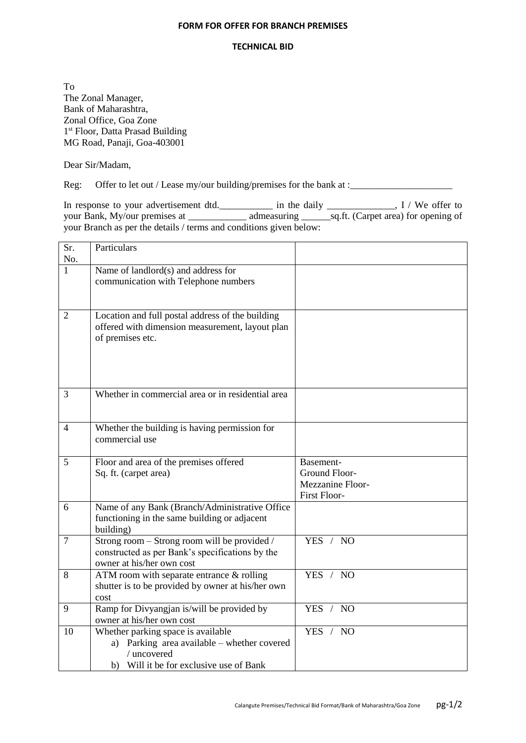## **FORM FOR OFFER FOR BRANCH PREMISES**

## **TECHNICAL BID**

To The Zonal Manager, Bank of Maharashtra, Zonal Office, Goa Zone 1<sup>st</sup> Floor, Datta Prasad Building MG Road, Panaji, Goa-403001

Dear Sir/Madam,

Reg: Offer to let out / Lease my/our building/premises for the bank at :\_\_\_\_\_\_\_\_\_

In response to your advertisement dtd.\_\_\_\_\_\_\_\_\_\_\_\_ in the daily \_\_\_\_\_\_\_\_\_\_\_\_, I / We offer to your Bank, My/our premises at \_\_\_\_\_\_\_\_\_\_\_\_\_\_\_\_ admeasuring \_\_\_\_\_\_\_\_\_\_\_\_\_\_\_\_\_\_\_\_\_\_ aq.ft. (Carpet area) for opening of your Branch as per the details / terms and conditions given below:

| Sr.<br>No.     | Particulars                                                                                                                                 |                                                                |
|----------------|---------------------------------------------------------------------------------------------------------------------------------------------|----------------------------------------------------------------|
| 1              | Name of landlord $(s)$ and address for<br>communication with Telephone numbers                                                              |                                                                |
| $\overline{2}$ | Location and full postal address of the building<br>offered with dimension measurement, layout plan<br>of premises etc.                     |                                                                |
| 3              | Whether in commercial area or in residential area                                                                                           |                                                                |
| $\overline{4}$ | Whether the building is having permission for<br>commercial use                                                                             |                                                                |
| 5              | Floor and area of the premises offered<br>Sq. ft. (carpet area)                                                                             | Basement-<br>Ground Floor-<br>Mezzanine Floor-<br>First Floor- |
| 6              | Name of any Bank (Branch/Administrative Office<br>functioning in the same building or adjacent<br>building)                                 |                                                                |
| $\overline{7}$ | Strong room – Strong room will be provided /<br>constructed as per Bank's specifications by the<br>owner at his/her own cost                | YES / NO                                                       |
| 8              | ATM room with separate entrance $&$ rolling<br>shutter is to be provided by owner at his/her own<br>cost                                    | YES / NO                                                       |
| 9              | Ramp for Divyangjan is/will be provided by<br>owner at his/her own cost                                                                     | YES / NO                                                       |
| 10             | Whether parking space is available<br>a) Parking area available – whether covered<br>/ uncovered<br>b) Will it be for exclusive use of Bank | YES / NO                                                       |